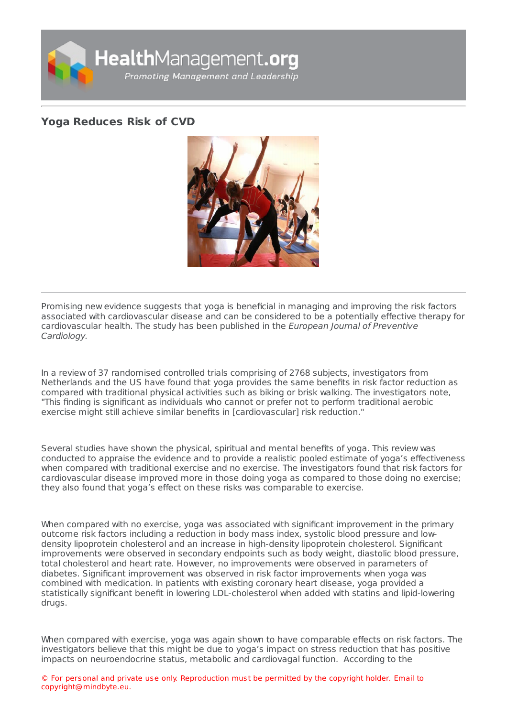

## **Yoga [Reduces](https://healthmanagement.org/s/yoga-reduces-risk-of-cvd) Risk of CVD**



Promising new evidence suggests that yoga is beneficial in managing and improving the risk factors associated with cardiovascular disease and can be considered to be a potentially effective therapy for cardiovascular health. The study has been published in the European Journal of Preventive Cardiology.

In a review of 37 randomised controlled trials comprising of 2768 subjects, investigators from Netherlands and the US have found that yoga provides the same benefits in risk factor reduction as compared with traditional physical activities such as biking or brisk walking. The investigators note, "This finding is significant as individuals who cannot or prefer not to perform traditional aerobic exercise might still achieve similar benefits in [cardiovascular] risk reduction."

Several studies have shown the physical, spiritual and mental benefits of yoga. This review was conducted to appraise the evidence and to provide a realistic pooled estimate of yoga's effectiveness when compared with traditional exercise and no exercise. The investigators found that risk factors for cardiovascular disease improved more in those doing yoga as compared to those doing no exercise; they also found that yoga's effect on these risks was comparable to exercise.

When compared with no exercise, yoga was associated with significant improvement in the primary outcome risk factors including a reduction in body mass index, systolic blood pressure and lowdensity lipoprotein cholesterol and an increase in high-density lipoprotein cholesterol. Significant improvements were observed in secondary endpoints such as body weight, diastolic blood pressure, total cholesterol and heart rate. However, no improvements were observed in parameters of diabetes. Significant improvement was observed in risk factor improvements when yoga was combined with medication. In patients with existing coronary heart disease, yoga provided a statistically significant benefit in lowering LDL-cholesterol when added with statins and lipid-lowering drugs.

When compared with exercise, yoga was again shown to have comparable effects on risk factors. The investigators believe that this might be due to yoga's impact on stress reduction that has positive impacts on neuroendocrine status, metabolic and cardiovagal function. According to the

© For personal and private use only. Reproduction must be permitted by the copyright holder. Email to copyright@mindbyte.eu.